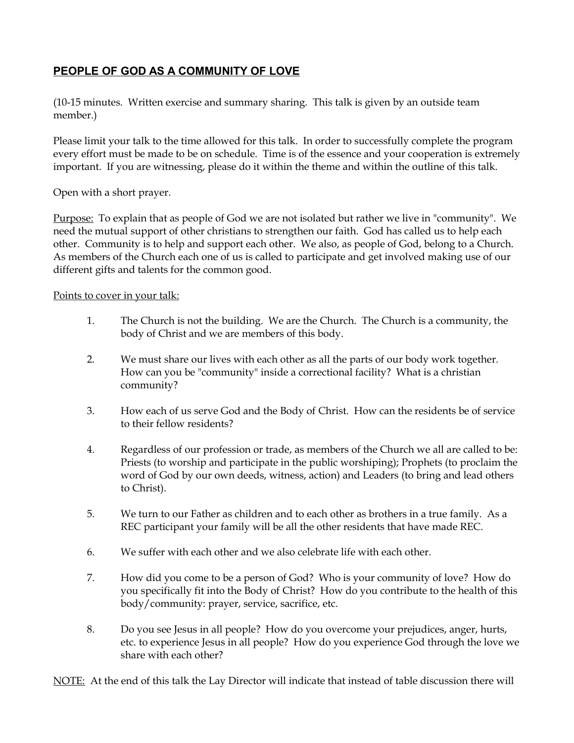## **PEOPLE OF GOD AS A COMMUNITY OF LOVE**

(10-15 minutes. Written exercise and summary sharing. This talk is given by an outside team member.)

Please limit your talk to the time allowed for this talk. In order to successfully complete the program every effort must be made to be on schedule. Time is of the essence and your cooperation is extremely important. If you are witnessing, please do it within the theme and within the outline of this talk.

Open with a short prayer.

Purpose: To explain that as people of God we are not isolated but rather we live in "community". We need the mutual support of other christians to strengthen our faith. God has called us to help each other. Community is to help and support each other. We also, as people of God, belong to a Church. As members of the Church each one of us is called to participate and get involved making use of our different gifts and talents for the common good.

## Points to cover in your talk:

- 1. The Church is not the building. We are the Church. The Church is a community, the body of Christ and we are members of this body.
- 2. We must share our lives with each other as all the parts of our body work together. How can you be "community" inside a correctional facility? What is a christian community?
- 3. How each of us serve God and the Body of Christ. How can the residents be of service to their fellow residents?
- 4. Regardless of our profession or trade, as members of the Church we all are called to be: Priests (to worship and participate in the public worshiping); Prophets (to proclaim the word of God by our own deeds, witness, action) and Leaders (to bring and lead others to Christ).
- 5. We turn to our Father as children and to each other as brothers in a true family. As a REC participant your family will be all the other residents that have made REC.
- 6. We suffer with each other and we also celebrate life with each other.
- 7. How did you come to be a person of God? Who is your community of love? How do you specifically fit into the Body of Christ? How do you contribute to the health of this body/community: prayer, service, sacrifice, etc.
- 8. Do you see Jesus in all people? How do you overcome your prejudices, anger, hurts, etc. to experience Jesus in all people? How do you experience God through the love we share with each other?

NOTE: At the end of this talk the Lay Director will indicate that instead of table discussion there will